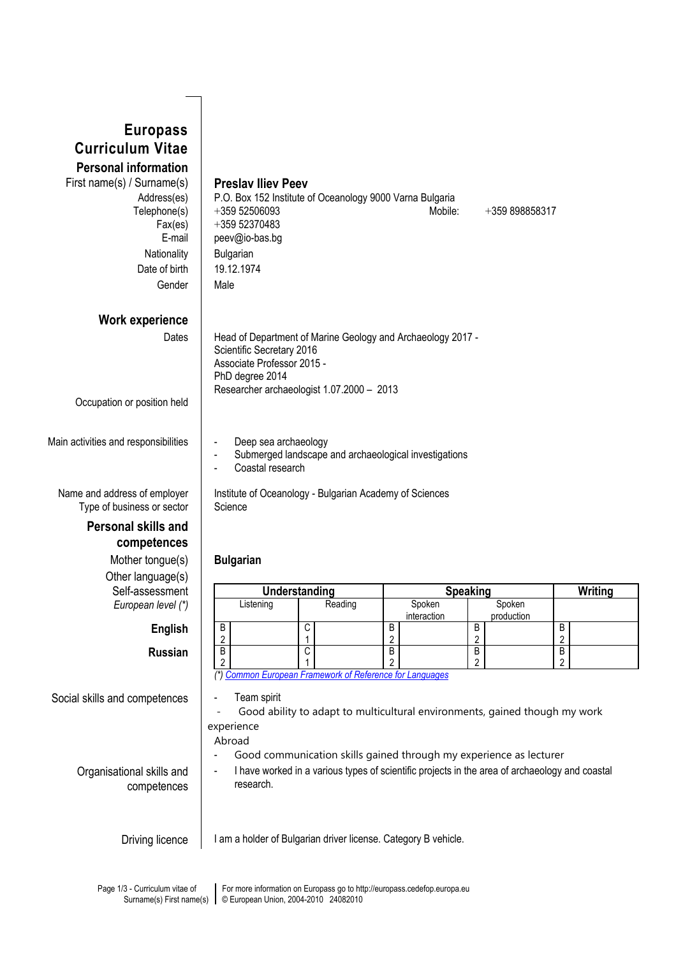| <b>Europass</b>                                                                |                                                                                                                                                                                        |                                                                                                |                 |                              |                |                     |                |  |
|--------------------------------------------------------------------------------|----------------------------------------------------------------------------------------------------------------------------------------------------------------------------------------|------------------------------------------------------------------------------------------------|-----------------|------------------------------|----------------|---------------------|----------------|--|
| <b>Curriculum Vitae</b>                                                        |                                                                                                                                                                                        |                                                                                                |                 |                              |                |                     |                |  |
| <b>Personal information</b>                                                    |                                                                                                                                                                                        |                                                                                                |                 |                              |                |                     |                |  |
| First name(s) / Surname(s)<br>Address(es)<br>Telephone(s)<br>Fax(es)<br>E-mail | <b>Preslav Iliev Peev</b><br>+359 52506093<br>+359 52370483                                                                                                                            | P.O. Box 152 Institute of Oceanology 9000 Varna Bulgaria                                       | Mobile:         |                              | +359 898858317 |                     |                |  |
| Nationality                                                                    | peev@io-bas.bg<br>Bulgarian                                                                                                                                                            |                                                                                                |                 |                              |                |                     |                |  |
| Date of birth                                                                  | 19.12.1974                                                                                                                                                                             |                                                                                                |                 |                              |                |                     |                |  |
| Gender                                                                         | Male                                                                                                                                                                                   |                                                                                                |                 |                              |                |                     |                |  |
|                                                                                |                                                                                                                                                                                        |                                                                                                |                 |                              |                |                     |                |  |
| <b>Work experience</b>                                                         |                                                                                                                                                                                        |                                                                                                |                 |                              |                |                     |                |  |
| Dates                                                                          | Head of Department of Marine Geology and Archaeology 2017 -<br>Scientific Secretary 2016<br>Associate Professor 2015 -<br>PhD degree 2014<br>Researcher archaeologist 1.07.2000 - 2013 |                                                                                                |                 |                              |                |                     |                |  |
| Occupation or position held                                                    |                                                                                                                                                                                        |                                                                                                |                 |                              |                |                     |                |  |
| Main activities and responsibilities                                           | Deep sea archaeology<br>Submerged landscape and archaeological investigations<br>$\blacksquare$<br>Coastal research                                                                    |                                                                                                |                 |                              |                |                     |                |  |
| Name and address of employer<br>Type of business or sector                     | Science                                                                                                                                                                                | Institute of Oceanology - Bulgarian Academy of Sciences                                        |                 |                              |                |                     |                |  |
| <b>Personal skills and</b>                                                     |                                                                                                                                                                                        |                                                                                                |                 |                              |                |                     |                |  |
| competences                                                                    |                                                                                                                                                                                        |                                                                                                |                 |                              |                |                     |                |  |
| Mother tongue(s)                                                               | <b>Bulgarian</b>                                                                                                                                                                       |                                                                                                |                 |                              |                |                     |                |  |
| Other language(s)                                                              |                                                                                                                                                                                        |                                                                                                |                 |                              |                |                     |                |  |
| Self-assessment<br>European level (*)                                          | Listening                                                                                                                                                                              | <b>Understanding</b><br>Reading                                                                | Spoken          | <b>Speaking</b><br>Spoken    |                |                     | <b>Writing</b> |  |
|                                                                                |                                                                                                                                                                                        |                                                                                                | interaction     |                              | production     |                     |                |  |
| <b>English</b>                                                                 | B<br>$\overline{2}$                                                                                                                                                                    | C<br>1                                                                                         | В<br>$\sqrt{2}$ | B<br>$\overline{\mathbf{c}}$ |                | В<br>$\overline{c}$ |                |  |
| <b>Russian</b>                                                                 | $\overline{B}$                                                                                                                                                                         | $\overline{C}$                                                                                 | B               | B                            |                | B                   |                |  |
|                                                                                | $\overline{2}$                                                                                                                                                                         | (*) Common European Framework of Reference for Languages                                       | $\overline{2}$  | 2                            |                | $\overline{2}$      |                |  |
|                                                                                | Team spirit                                                                                                                                                                            |                                                                                                |                 |                              |                |                     |                |  |
| Social skills and competences                                                  |                                                                                                                                                                                        | Good ability to adapt to multicultural environments, gained though my work                     |                 |                              |                |                     |                |  |
|                                                                                | experience                                                                                                                                                                             |                                                                                                |                 |                              |                |                     |                |  |
|                                                                                | Abroad                                                                                                                                                                                 |                                                                                                |                 |                              |                |                     |                |  |
|                                                                                |                                                                                                                                                                                        | Good communication skills gained through my experience as lecturer                             |                 |                              |                |                     |                |  |
| Organisational skills and                                                      | $\blacksquare$<br>research.                                                                                                                                                            | I have worked in a various types of scientific projects in the area of archaeology and coastal |                 |                              |                |                     |                |  |
| competences                                                                    |                                                                                                                                                                                        |                                                                                                |                 |                              |                |                     |                |  |
|                                                                                |                                                                                                                                                                                        |                                                                                                |                 |                              |                |                     |                |  |
| Driving licence                                                                |                                                                                                                                                                                        | I am a holder of Bulgarian driver license. Category B vehicle.                                 |                 |                              |                |                     |                |  |
|                                                                                |                                                                                                                                                                                        |                                                                                                |                 |                              |                |                     |                |  |
|                                                                                |                                                                                                                                                                                        |                                                                                                |                 |                              |                |                     |                |  |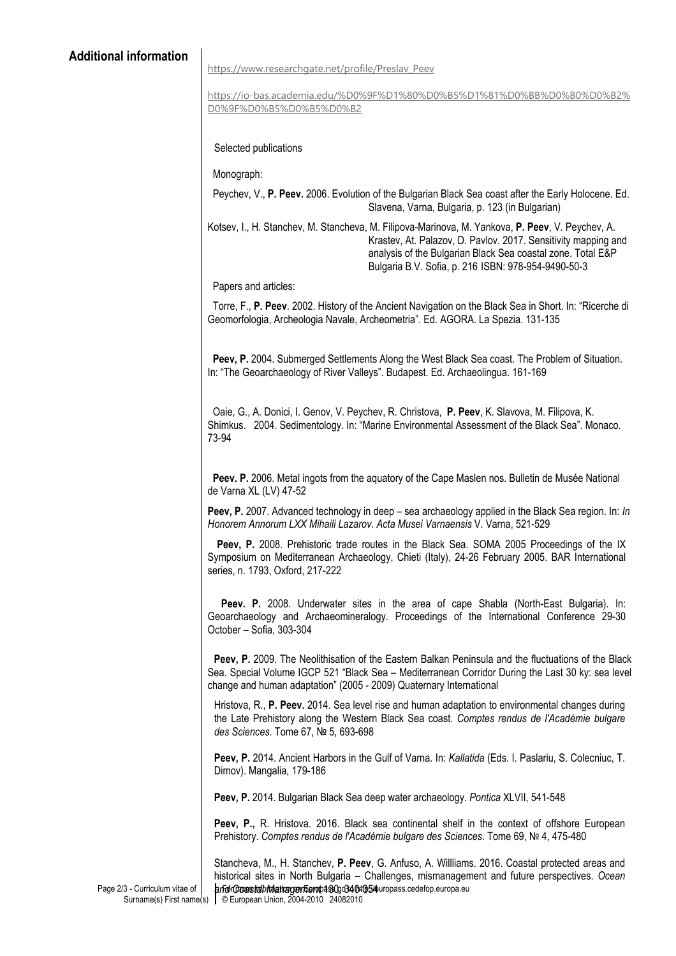## [https://www.researchgate.net/profile/Preslav\\_Peev](https://www.researchgate.net/profile/Preslav_Peev)

[https://io-bas.academia.edu/%D0%9F%D1%80%D0%B5%D1%81%D0%BB%D0%B0%D0%B2%](https://io-bas.academia.edu/%D0%9F%D1%80%D0%B5%D1%81%D0%BB%D0%B0%D0%B2%D0%9F%D0%B5%D0%B5%D0%B2) [D0%9F%D0%B5%D0%B5%D0%B2](https://io-bas.academia.edu/%D0%9F%D1%80%D0%B5%D1%81%D0%BB%D0%B0%D0%B2%D0%9F%D0%B5%D0%B5%D0%B2)

Selected publications

Monograph:

Peychev, V., P. Peev. 2006. Evolution of the Bulgarian Black Sea coast after the Early Holocene. Ed. Slavena, Varna, Bulgaria, p. 123 (in Bulgarian)

Kotsev, I., H. Stanchev, M. Stancheva, M. Filipova-Marinova, M. Yankova, P. Peev, V. Peychev, A. Krastev, At. Palazov, D. Pavlov. 2017. Sensitivity mapping and analysis of the Bulgarian Black Sea coastal zone. Total E&P Bulgaria B.V. Sofia, p. 216 ISBN: 978-954-9490-50-3

Papers and articles:

Torre, F., P. Peev. 2002. History of the Ancient Navigation on the Black Sea in Short. In: "Ricerche di Geomorfologia, Archeologia Navale, Archeometria". Ed. AGORA. La Spezia. 131-135

Peev, P. 2004. Submerged Settlements Along the West Black Sea coast. The Problem of Situation. In: "The Geoarchaeology of River Valleys". Budapest. Ed. Archaeolingua. 161-169

Oaie, G., A. Donici, I. Genov, V. Peychev, R. Christova, P. Peev, K. Slavova, M. Filipova, K. Shimkus. 2004. Sedimentology. In: "Marine Environmental Assessment of the Black Sea". Monaco. 73-94

Peev. P. 2006. Metal ingots from the aquatory of the Cape Maslen nos. Bulletin de Musée National de Varna XL (LV) 47-52

Peev, P. 2007. Advanced technology in deep – sea archaeology applied in the Black Sea region. In: In Honorem Annorum LXX Mihaili Lazarov. Acta Musei Varnaensis V. Varna, 521-529

Peev, P. 2008. Prehistoric trade routes in the Black Sea. SOMA 2005 Proceedings of the IX Symposium on Mediterranean Archaeology, Chieti (Italy), 24-26 February 2005. BAR International series, n. 1793, Oxford, 217-222

Peev. P. 2008. Underwater sites in the area of cape Shabla (North-East Bulgaria). In: Geoarchaeology and Archaeomineralogy. Proceedings of the International Conference 29-30 October – Sofia, 303-304

Peev, P. 2009. The Neolithisation of the Eastern Balkan Peninsula and the fluctuations of the Black Sea. Special Volume IGCP 521 "Black Sea – Mediterranean Corridor During the Last 30 ky: sea level change and human adaptation" (2005 - 2009) Quaternary International

Hristova, R., P. Peev. 2014. Sea level rise and human adaptation to environmental changes during the Late Prehistory along the Western Black Sea coast. Comptes rendus de l'Académie bulgare des Sciences. Tome 67, № 5, 693-698

Peev, P. 2014. Ancient Harbors in the Gulf of Varna. In: Kallatida (Eds. I. Paslariu, S. Colecniuc, T. Dimov). Mangalia, 179-186

Peev, P. 2014. Bulgarian Black Sea deep water archaeology. Pontica XLVII, 541-548

Peev, P., R. Hristova. 2016. Black sea continental shelf in the context of offshore European Prehistory. Comptes rendus de l'Académie bulgare des Sciences. Tome 69, № 4, 475-480

prFor Croastatb Manager Fierop 130g 340t654uropass cedefop.europa.eu Stancheva, M., H. Stanchev, P. Peev, G. Anfuso, A. Willliams. 2016. Coastal protected areas and historical sites in North Bulgaria – Challenges, mismanagement and future perspectives. Ocean

Page 2/3 - Curriculum vitae of Surname(s) First name(s)

© European Union, 2004-2010 24082010